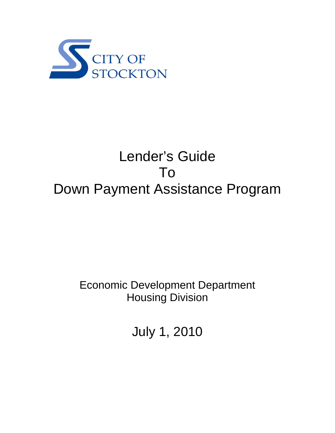

# Lender's Guide To Down Payment Assistance Program

# Economic Development Department Housing Division

July 1, 2010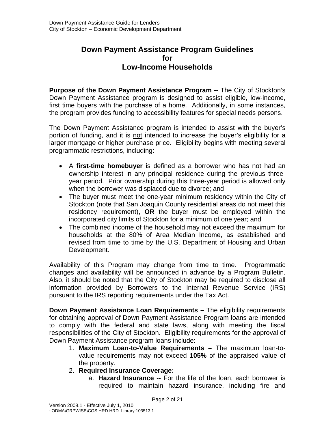# **Down Payment Assistance Program Guidelines for Low-Income Households**

**Purpose of the Down Payment Assistance Program --** The City of Stockton's Down Payment Assistance program is designed to assist eligible, low-income, first time buyers with the purchase of a home. Additionally, in some instances, the program provides funding to accessibility features for special needs persons.

The Down Payment Assistance program is intended to assist with the buyer's portion of funding, and it is not intended to increase the buyer's eligibility for a larger mortgage or higher purchase price. Eligibility begins with meeting several programmatic restrictions, including:

- A **first-time homebuyer** is defined as a borrower who has not had an ownership interest in any principal residence during the previous threeyear period. Prior ownership during this three-year period is allowed only when the borrower was displaced due to divorce; and
- The buyer must meet the one-year minimum residency within the City of Stockton (note that San Joaquin County residential areas do not meet this residency requirement), **OR** the buyer must be employed within the incorporated city limits of Stockton for a minimum of one year; and
- The combined income of the household may not exceed the maximum for households at the 80% of Area Median Income, as established and revised from time to time by the U.S. Department of Housing and Urban Development.

Availability of this Program may change from time to time. Programmatic changes and availability will be announced in advance by a Program Bulletin. Also, it should be noted that the City of Stockton may be required to disclose all information provided by Borrowers to the Internal Revenue Service (IRS) pursuant to the IRS reporting requirements under the Tax Act.

**Down Payment Assistance Loan Requirements –** The eligibility requirements for obtaining approval of Down Payment Assistance Program loans are intended to comply with the federal and state laws, along with meeting the fiscal responsibilities of the City of Stockton. Eligibility requirements for the approval of Down Payment Assistance program loans include:

- 1. **Maximum Loan-to-Value Requirements** The maximum loan-tovalue requirements may not exceed **105%** of the appraised value of the property.
- 2. **Required Insurance Coverage:**
	- a. **Hazard Insurance --** For the life of the loan, each borrower is required to maintain hazard insurance, including fire and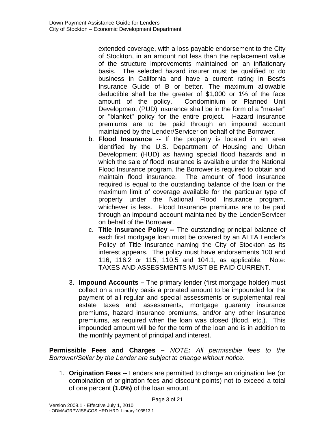extended coverage, with a loss payable endorsement to the City of Stockton, in an amount not less than the replacement value of the structure improvements maintained on an inflationary basis. The selected hazard insurer must be qualified to do business in California and have a current rating in Best's Insurance Guide of B or better. The maximum allowable deductible shall be the greater of \$1,000 or 1% of the face amount of the policy. Condominium or Planned Unit Development (PUD) insurance shall be in the form of a "master" or "blanket" policy for the entire project. Hazard insurance premiums are to be paid through an impound account maintained by the Lender/Servicer on behalf of the Borrower.

- b. **Flood Insurance --** If the property is located in an area identified by the U.S. Department of Housing and Urban Development (HUD) as having special flood hazards and in which the sale of flood insurance is available under the National Flood Insurance program, the Borrower is required to obtain and maintain flood insurance. The amount of flood insurance required is equal to the outstanding balance of the loan or the maximum limit of coverage available for the particular type of property under the National Flood Insurance program, whichever is less. Flood Insurance premiums are to be paid through an impound account maintained by the Lender/Servicer on behalf of the Borrower.
- c. **Title Insurance Policy --** The outstanding principal balance of each first mortgage loan must be covered by an ALTA Lender's Policy of Title Insurance naming the City of Stockton as its interest appears. The policy must have endorsements 100 and 116, 116.2 or 115, 110.5 and 104.1, as applicable. Note: TAXES AND ASSESSMENTS MUST BE PAID CURRENT.
- 3. **Impound Accounts –** The primary lender (first mortgage holder) must collect on a monthly basis a prorated amount to be impounded for the payment of all regular and special assessments or supplemental real estate taxes and assessments, mortgage guaranty insurance premiums, hazard insurance premiums, and/or any other insurance premiums, as required when the loan was closed (flood, etc.). This impounded amount will be for the term of the loan and is in addition to the monthly payment of principal and interest.

**Permissible Fees and Charges –** *NOTE: All permissible fees to the Borrower/Seller by the Lender are subject to change without notice*.

1. **Origination Fees --** Lenders are permitted to charge an origination fee (or combination of origination fees and discount points) not to exceed a total of one percent **(1.0%)** of the loan amount.

Page 3 of 21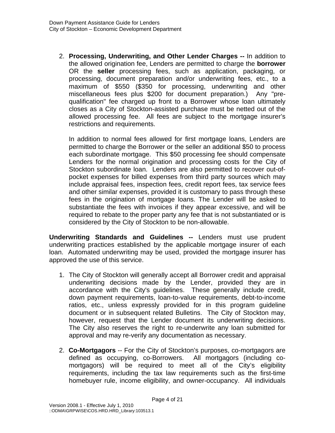2. **Processing, Underwriting, and Other Lender Charges --** In addition to the allowed origination fee, Lenders are permitted to charge the **borrower**  OR the **seller** processing fees, such as application, packaging, or processing, document preparation and/or underwriting fees, etc., to a maximum of \$550 (\$350 for processing, underwriting and other miscellaneous fees plus \$200 for document preparation.) Any "prequalification" fee charged up front to a Borrower whose loan ultimately closes as a City of Stockton-assisted purchase must be netted out of the allowed processing fee. All fees are subject to the mortgage insurer's restrictions and requirements.

In addition to normal fees allowed for first mortgage loans, Lenders are permitted to charge the Borrower or the seller an additional \$50 to process each subordinate mortgage. This \$50 processing fee should compensate Lenders for the normal origination and processing costs for the City of Stockton subordinate loan. Lenders are also permitted to recover out-ofpocket expenses for billed expenses from third party sources which may include appraisal fees, inspection fees, credit report fees, tax service fees and other similar expenses, provided it is customary to pass through these fees in the origination of mortgage loans. The Lender will be asked to substantiate the fees with invoices if they appear excessive, and will be required to rebate to the proper party any fee that is not substantiated or is considered by the City of Stockton to be non-allowable.

**Underwriting Standards and Guidelines --** Lenders must use prudent underwriting practices established by the applicable mortgage insurer of each loan. Automated underwriting may be used, provided the mortgage insurer has approved the use of this service.

- 1. The City of Stockton will generally accept all Borrower credit and appraisal underwriting decisions made by the Lender, provided they are in accordance with the City's guidelines. These generally include credit, down payment requirements, loan-to-value requirements, debt-to-income ratios, etc., unless expressly provided for in this program guideline document or in subsequent related Bulletins. The City of Stockton may, however, request that the Lender document its underwriting decisions. The City also reserves the right to re-underwrite any loan submitted for approval and may re-verify any documentation as necessary.
- 2. **Co-Mortgagors** -- For the City of Stockton's purposes, co-mortgagors are defined as occupying, co-Borrowers. All mortgagors (including comortgagors) will be required to meet all of the City's eligibility requirements, including the tax law requirements such as the first-time homebuyer rule, income eligibility, and owner-occupancy. All individuals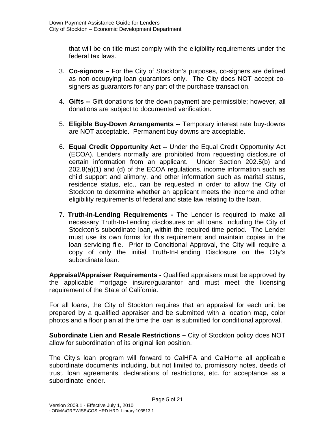that will be on title must comply with the eligibility requirements under the federal tax laws.

- 3. **Co-signors** For the City of Stockton's purposes, co-signers are defined as non-occupying loan guarantors only. The City does NOT accept cosigners as guarantors for any part of the purchase transaction.
- 4. **Gifts --** Gift donations for the down payment are permissible; however, all donations are subject to documented verification.
- 5. **Eligible Buy-Down Arrangements --** Temporary interest rate buy-downs are NOT acceptable. Permanent buy-downs are acceptable.
- 6. **Equal Credit Opportunity Act --** Under the Equal Credit Opportunity Act (ECOA), Lenders normally are prohibited from requesting disclosure of certain information from an applicant. Under Section 202.5(b) and 202.8(a)(1) and (d) of the ECOA regulations, income information such as child support and alimony, and other information such as marital status, residence status, etc., can be requested in order to allow the City of Stockton to determine whether an applicant meets the income and other eligibility requirements of federal and state law relating to the loan.
- 7. **Truth-In-Lending Requirements** The Lender is required to make all necessary Truth-In-Lending disclosures on all loans, including the City of Stockton's subordinate loan, within the required time period. The Lender must use its own forms for this requirement and maintain copies in the loan servicing file. Prior to Conditional Approval, the City will require a copy of only the initial Truth-In-Lending Disclosure on the City's subordinate loan.

**Appraisal/Appraiser Requirements -** Qualified appraisers must be approved by the applicable mortgage insurer/guarantor and must meet the licensing requirement of the State of California.

For all loans, the City of Stockton requires that an appraisal for each unit be prepared by a qualified appraiser and be submitted with a location map, color photos and a floor plan at the time the loan is submitted for conditional approval.

**Subordinate Lien and Resale Restrictions –** City of Stockton policy does NOT allow for subordination of its original lien position.

The City's loan program will forward to CalHFA and CalHome all applicable subordinate documents including, but not limited to, promissory notes, deeds of trust, loan agreements, declarations of restrictions, etc. for acceptance as a subordinate lender.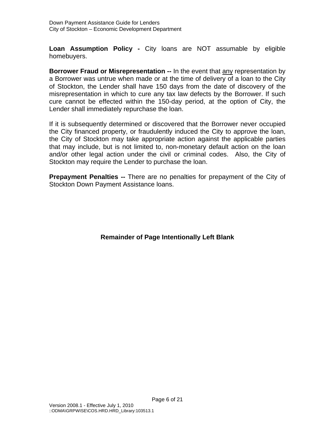**Loan Assumption Policy -** City loans are NOT assumable by eligible homebuyers.

**Borrower Fraud or Misrepresentation --** In the event that any representation by a Borrower was untrue when made or at the time of delivery of a loan to the City of Stockton, the Lender shall have 150 days from the date of discovery of the misrepresentation in which to cure any tax law defects by the Borrower. If such cure cannot be effected within the 150-day period, at the option of City, the Lender shall immediately repurchase the loan.

If it is subsequently determined or discovered that the Borrower never occupied the City financed property, or fraudulently induced the City to approve the loan, the City of Stockton may take appropriate action against the applicable parties that may include, but is not limited to, non-monetary default action on the loan and/or other legal action under the civil or criminal codes. Also, the City of Stockton may require the Lender to purchase the loan.

**Prepayment Penalties --** There are no penalties for prepayment of the City of Stockton Down Payment Assistance loans.

# **Remainder of Page Intentionally Left Blank**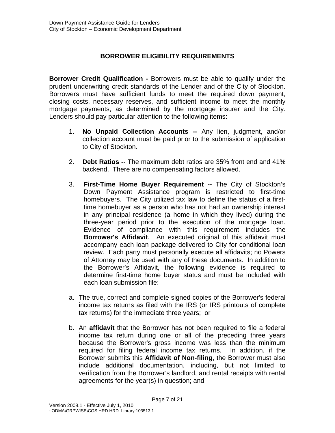# **BORROWER ELIGIBILITY REQUIREMENTS**

**Borrower Credit Qualification -** Borrowers must be able to qualify under the prudent underwriting credit standards of the Lender and of the City of Stockton. Borrowers must have sufficient funds to meet the required down payment, closing costs, necessary reserves, and sufficient income to meet the monthly mortgage payments, as determined by the mortgage insurer and the City. Lenders should pay particular attention to the following items:

- 1. **No Unpaid Collection Accounts --** Any lien, judgment, and/or collection account must be paid prior to the submission of application to City of Stockton.
- 2. **Debt Ratios --** The maximum debt ratios are 35% front end and 41% backend. There are no compensating factors allowed.
- 3. **First-Time Home Buyer Requirement --** The City of Stockton's Down Payment Assistance program is restricted to first-time homebuyers. The City utilized tax law to define the status of a firsttime homebuyer as a person who has not had an ownership interest in any principal residence (a home in which they lived) during the three-year period prior to the execution of the mortgage loan. Evidence of compliance with this requirement includes the **Borrower's Affidavit**. An executed original of this affidavit must accompany each loan package delivered to City for conditional loan review. Each party must personally execute all affidavits; no Powers of Attorney may be used with any of these documents. In addition to the Borrower's Affidavit, the following evidence is required to determine first-time home buyer status and must be included with each loan submission file:
- a. The true, correct and complete signed copies of the Borrower's federal income tax returns as filed with the IRS (or IRS printouts of complete tax returns) for the immediate three years; or
- b. An **affidavit** that the Borrower has not been required to file a federal income tax return during one or all of the preceding three years because the Borrower's gross income was less than the minimum required for filing federal income tax returns. In addition, if the Borrower submits this **Affidavit of Non-filing**, the Borrower must also include additional documentation, including, but not limited to verification from the Borrower's landlord, and rental receipts with rental agreements for the year(s) in question; and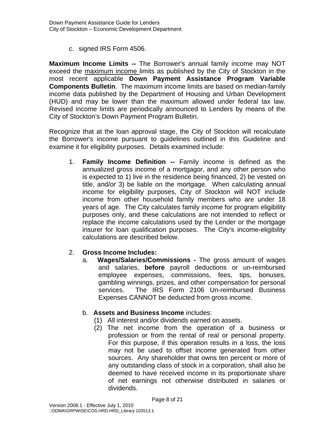c. signed IRS Form 4506.

**Maximum Income Limits --** The Borrower's annual family income may NOT exceed the maximum income limits as published by the City of Stockton in the most recent applicable **Down Payment Assistance Program Variable Components Bulletin**. The maximum income limits are based on median-family income data published by the Department of Housing and Urban Development (HUD) and may be lower than the maximum allowed under federal tax law. Revised income limits are periodically announced to Lenders by means of the City of Stockton's Down Payment Program Bulletin.

Recognize that at the loan approval stage, the City of Stockton will recalculate the Borrower's income pursuant to guidelines outlined in this Guideline and examine it for eligibility purposes. Details examined include:

1. **Family Income Definition --** Family income is defined as the annualized gross income of a mortgagor, and any other person who is expected to 1) live in the residence being financed, 2) be vested on title, and/or 3) be liable on the mortgage. When calculating annual income for eligibility purposes, City of Stockton will NOT include income from other household family members who are under 18 years of age. The City calculates family income for program eligibility purposes only, and these calculations are not intended to reflect or replace the income calculations used by the Lender or the mortgage insurer for loan qualification purposes. The City's income-eligibility calculations are described below.

#### 2. **Gross Income Includes:**

a. **Wages/Salaries/Commissions -** The gross amount of wages and salaries, **before** payroll deductions or un-reimbursed employee expenses, commissions, fees, tips, bonuses, gambling winnings, prizes, and other compensation for personal services. The IRS Form 2106 Un-reimbursed Business Expenses CANNOT be deducted from gross income.

#### b. **Assets and Business Income** includes:

- (1) All interest and/or dividends earned on assets.
- (2) The net income from the operation of a business or profession or from the rental of real or personal property. For this purpose, if this operation results in a loss, the loss may not be used to offset income generated from other sources. Any shareholder that owns ten percent or more of any outstanding class of stock in a corporation, shall also be deemed to have received income in its proportionate share of net earnings not otherwise distributed in salaries or dividends.

Page 8 of 21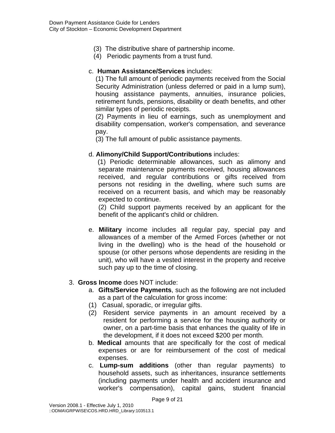- (3) The distributive share of partnership income.
- (4) Periodic payments from a trust fund.

#### c. **Human Assistance/Services** includes:

(1) The full amount of periodic payments received from the Social Security Administration (unless deferred or paid in a lump sum), housing assistance payments, annuities, insurance policies, retirement funds, pensions, disability or death benefits, and other similar types of periodic receipts.

(2) Payments in lieu of earnings, such as unemployment and disability compensation, worker's compensation, and severance pay.

(3) The full amount of public assistance payments.

#### d. **Alimony/Child Support/Contributions** includes:

 (1) Periodic determinable allowances, such as alimony and separate maintenance payments received, housing allowances received, and regular contributions or gifts received from persons not residing in the dwelling, where such sums are received on a recurrent basis, and which may be reasonably expected to continue.

(2) Child support payments received by an applicant for the benefit of the applicant's child or children.

e. **Military** income includes all regular pay, special pay and allowances of a member of the Armed Forces (whether or not living in the dwelling) who is the head of the household or spouse (or other persons whose dependents are residing in the unit), who will have a vested interest in the property and receive such pay up to the time of closing.

#### 3. **Gross Income** does NOT include:

- a. **Gifts/Service Payments**, such as the following are not included as a part of the calculation for gross income:
- (1) Casual, sporadic, or irregular gifts.
- (2) Resident service payments in an amount received by a resident for performing a service for the housing authority or owner, on a part-time basis that enhances the quality of life in the development, if it does not exceed \$200 per month.
- b. **Medical** amounts that are specifically for the cost of medical expenses or are for reimbursement of the cost of medical expenses.
- c. **Lump-sum additions** (other than regular payments) to household assets, such as inheritances, insurance settlements (including payments under health and accident insurance and worker's compensation), capital gains, student financial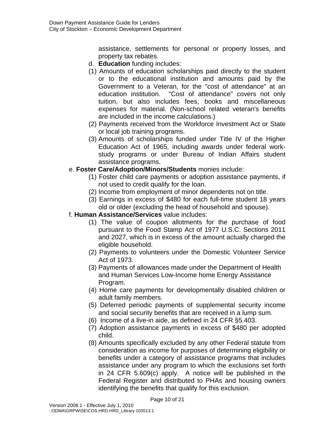assistance, settlements for personal or property losses, and property tax rebates.

- d. **Education** funding includes:
- (1) Amounts of education scholarships paid directly to the student or to the educational institution and amounts paid by the Government to a Veteran, for the "cost of attendance" at an education institution. "Cost of attendance" covers not only tuition, but also includes fees, books and miscellaneous expenses for material. (Non-school related veteran's benefits are included in the income calculations.)
- (2) Payments received from the Workforce Investment Act or State or local job training programs.
- (3) Amounts of scholarships funded under Title IV of the Higher Education Act of 1965, including awards under federal workstudy programs or under Bureau of Indian Affairs student assistance programs.

#### e. **Foster Care/Adoption/Minors/Students** monies include:

- (1) Foster child care payments or adoption assistance payments, if not used to credit qualify for the loan.
- (2) Income from employment of minor dependents not on title.
- (3) Earnings in excess of \$480 for each full-time student 18 years old or older (excluding the head of household and spouse).

#### f. **Human Assistance/Services** value includes:

- (1) The value of coupon allotments for the purchase of food pursuant to the Food Stamp Act of 1977 U.S.C. Sections 2011 and 2027, which is in excess of the amount actually charged the eligible household.
- (2) Payments to volunteers under the Domestic Volunteer Service Act of 1973.
- (3) Payments of allowances made under the Department of Health and Human Services Low-Income home Energy Assistance Program.
- (4) Home care payments for developmentally disabled children or adult family members.
- (5) Deferred periodic payments of supplemental security income and social security benefits that are received in a lump sum.
- (6) Income of a live-in aide, as defined in 24 CFR §5.403.
- (7) Adoption assistance payments in excess of \$480 per adopted child.
- (8) Amounts specifically excluded by any other Federal statute from consideration as income for purposes of determining eligibility or benefits under a category of assistance programs that includes assistance under any program to which the exclusions set forth in 24 CFR 5.609(c) apply. A notice will be published in the Federal Register and distributed to PHAs and housing owners identifying the benefits that qualify for this exclusion.

Page 10 of 21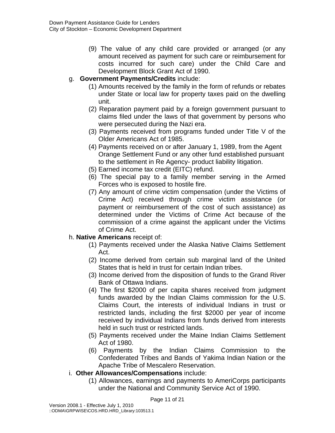(9) The value of any child care provided or arranged (or any amount received as payment for such care or reimbursement for costs incurred for such care) under the Child Care and Development Block Grant Act of 1990.

#### g. **Government Payments/Credits** include:

- (1) Amounts received by the family in the form of refunds or rebates under State or local law for property taxes paid on the dwelling unit.
- (2) Reparation payment paid by a foreign government pursuant to claims filed under the laws of that government by persons who were persecuted during the Nazi era.
- (3) Payments received from programs funded under Title V of the Older Americans Act of 1985.
- (4) Payments received on or after January 1, 1989, from the Agent Orange Settlement Fund or any other fund established pursuant to the settlement in Re Agency- product liability litigation.
- (5) Earned income tax credit (EITC) refund.
- (6) The special pay to a family member serving in the Armed Forces who is exposed to hostile fire.
- (7) Any amount of crime victim compensation (under the Victims of Crime Act) received through crime victim assistance (or payment or reimbursement of the cost of such assistance) as determined under the Victims of Crime Act because of the commission of a crime against the applicant under the Victims of Crime Act.

# h. **Native Americans** receipt of:

- (1) Payments received under the Alaska Native Claims Settlement Act.
- (2) Income derived from certain sub marginal land of the United States that is held in trust for certain Indian tribes.
- (3) Income derived from the disposition of funds to the Grand River Bank of Ottawa Indians.
- (4) The first \$2000 of per capita shares received from judgment funds awarded by the Indian Claims commission for the U.S. Claims Court, the interests of individual Indians in trust or restricted lands, including the first \$2000 per year of income received by individual Indians from funds derived from interests held in such trust or restricted lands.
- (5) Payments received under the Maine Indian Claims Settlement Act of 1980.
- (6) Payments by the Indian Claims Commission to the Confederated Tribes and Bands of Yakima Indian Nation or the Apache Tribe of Mescalero Reservation.
- i. **Other Allowances/Compensations** include:
	- (1) Allowances, earnings and payments to AmeriCorps participants under the National and Community Service Act of 1990.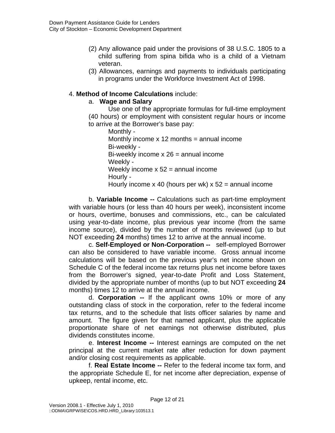- (2) Any allowance paid under the provisions of 38 U.S.C. 1805 to a child suffering from spina bifida who is a child of a Vietnam veteran.
- (3) Allowances, earnings and payments to individuals participating in programs under the Workforce Investment Act of 1998.

# 4. **Method of Income Calculations** include:

#### a. **Wage and Salary**

Use one of the appropriate formulas for full-time employment (40 hours) or employment with consistent regular hours or income to arrive at the Borrower's base pay:

Monthly - Monthly income  $x$  12 months = annual income Bi-weekly - Bi-weekly income  $x 26$  = annual income Weekly - Weekly income  $x 52$  = annual income Hourly - Hourly income x 40 (hours per wk)  $x$  52 = annual income

b. **Variable Income --** Calculations such as part-time employment with variable hours (or less than 40 hours per week), inconsistent income or hours, overtime, bonuses and commissions, etc., can be calculated using year-to-date income, plus previous year income (from the same income source), divided by the number of months reviewed (up to but NOT exceeding **24** months) times 12 to arrive at the annual income.

c. **Self-Employed or Non-Corporation --** self-employed Borrower can also be considered to have variable income. Gross annual income calculations will be based on the previous year's net income shown on Schedule C of the federal income tax returns plus net income before taxes from the Borrower's signed, year-to-date Profit and Loss Statement, divided by the appropriate number of months (up to but NOT exceeding **24** months) times 12 to arrive at the annual income.

d. **Corporation --** If the applicant owns 10% or more of any outstanding class of stock in the corporation, refer to the federal income tax returns, and to the schedule that lists officer salaries by name and amount. The figure given for that named applicant, plus the applicable proportionate share of net earnings not otherwise distributed, plus dividends constitutes income.

e. **Interest Income --** Interest earnings are computed on the net principal at the current market rate after reduction for down payment and/or closing cost requirements as applicable.

f. **Real Estate Income --** Refer to the federal income tax form, and the appropriate Schedule E, for net income after depreciation, expense of upkeep, rental income, etc.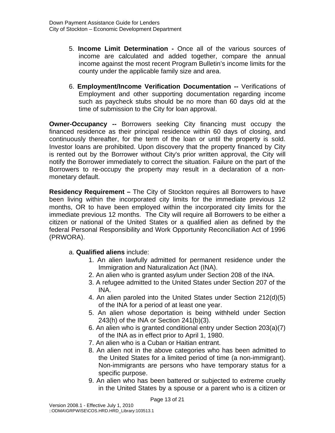- 5. **Income Limit Determination** Once all of the various sources of income are calculated and added together, compare the annual income against the most recent Program Bulletin's income limits for the county under the applicable family size and area.
- 6. **Employment/Income Verification Documentation --** Verifications of Employment and other supporting documentation regarding income such as paycheck stubs should be no more than 60 days old at the time of submission to the City for loan approval.

**Owner-Occupancy --** Borrowers seeking City financing must occupy the financed residence as their principal residence within 60 days of closing, and continuously thereafter, for the term of the loan or until the property is sold. Investor loans are prohibited. Upon discovery that the property financed by City is rented out by the Borrower without City's prior written approval, the City will notify the Borrower immediately to correct the situation. Failure on the part of the Borrowers to re-occupy the property may result in a declaration of a nonmonetary default.

**Residency Requirement –** The City of Stockton requires all Borrowers to have been living within the incorporated city limits for the immediate previous 12 months, OR to have been employed within the incorporated city limits for the immediate previous 12 months. The City will require all Borrowers to be either a citizen or national of the United States or a qualified alien as defined by the federal Personal Responsibility and Work Opportunity Reconciliation Act of 1996 (PRWORA).

#### a. **Qualified aliens** include:

- 1. An alien lawfully admitted for permanent residence under the Immigration and Naturalization Act (INA).
- 2. An alien who is granted asylum under Section 208 of the INA.
- 3. A refugee admitted to the United States under Section 207 of the INA.
- 4. An alien paroled into the United States under Section 212(d)(5) of the INA for a period of at least one year.
- 5. An alien whose deportation is being withheld under Section 243(h) of the INA or Section 241(b)(3).
- 6. An alien who is granted conditional entry under Section 203(a)(7) of the INA as in effect prior to April 1, 1980.
- 7. An alien who is a Cuban or Haitian entrant.
- 8. An alien not in the above categories who has been admitted to the United States for a limited period of time (a non-immigrant). Non-immigrants are persons who have temporary status for a specific purpose.
- 9. An alien who has been battered or subjected to extreme cruelty in the United States by a spouse or a parent who is a citizen or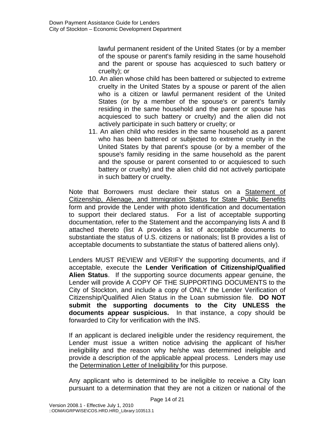lawful permanent resident of the United States (or by a member of the spouse or parent's family residing in the same household and the parent or spouse has acquiesced to such battery or cruelty); or

- 10. An alien whose child has been battered or subjected to extreme cruelty in the United States by a spouse or parent of the alien who is a citizen or lawful permanent resident of the United States (or by a member of the spouse's or parent's family residing in the same household and the parent or spouse has acquiesced to such battery or cruelty) and the alien did not actively participate in such battery or cruelty; or
- 11. An alien child who resides in the same household as a parent who has been battered or subjected to extreme cruelty in the United States by that parent's spouse (or by a member of the spouse's family residing in the same household as the parent and the spouse or parent consented to or acquiesced to such battery or cruelty) and the alien child did not actively participate in such battery or cruelty.

Note that Borrowers must declare their status on a Statement of Citizenship, Alienage, and Immigration Status for State Public Benefits form and provide the Lender with photo identification and documentation to support their declared status. For a list of acceptable supporting documentation, refer to the Statement and the accompanying lists A and B attached thereto (list A provides a list of acceptable documents to substantiate the status of U.S. citizens or nationals; list B provides a list of acceptable documents to substantiate the status of battered aliens only).

Lenders MUST REVIEW and VERIFY the supporting documents, and if acceptable, execute the **Lender Verification of Citizenship/Qualified Alien Status**. If the supporting source documents appear genuine, the Lender will provide A COPY OF THE SUPPORTING DOCUMENTS to the City of Stockton, and include a copy of ONLY the Lender Verification of Citizenship/Qualified Alien Status in the Loan submission file. **DO NOT submit the supporting documents to the City UNLESS the documents appear suspicious.** In that instance, a copy should be forwarded to City for verification with the INS.

If an applicant is declared ineligible under the residency requirement, the Lender must issue a written notice advising the applicant of his/her ineligibility and the reason why he/she was determined ineligible and provide a description of the applicable appeal process. Lenders may use the Determination Letter of Ineligibility for this purpose.

Any applicant who is determined to be ineligible to receive a City loan pursuant to a determination that they are not a citizen or national of the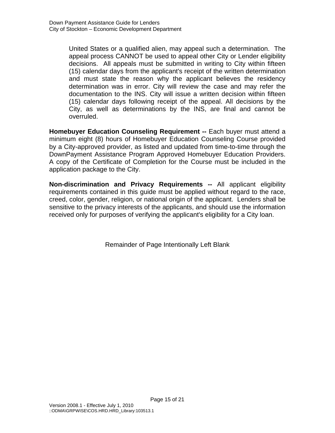United States or a qualified alien, may appeal such a determination. The appeal process CANNOT be used to appeal other City or Lender eligibility decisions. All appeals must be submitted in writing to City within fifteen (15) calendar days from the applicant's receipt of the written determination and must state the reason why the applicant believes the residency determination was in error. City will review the case and may refer the documentation to the INS. City will issue a written decision within fifteen (15) calendar days following receipt of the appeal. All decisions by the City, as well as determinations by the INS, are final and cannot be overruled.

**Homebuyer Education Counseling Requirement --** Each buyer must attend a minimum eight (8) hours of Homebuyer Education Counseling Course provided by a City-approved provider, as listed and updated from time-to-time through the DownPayment Assistance Program Approved Homebuyer Education Providers. A copy of the Certificate of Completion for the Course must be included in the application package to the City.

**Non-discrimination and Privacy Requirements --** All applicant eligibility requirements contained in this guide must be applied without regard to the race, creed, color, gender, religion, or national origin of the applicant. Lenders shall be sensitive to the privacy interests of the applicants, and should use the information received only for purposes of verifying the applicant's eligibility for a City loan.

Remainder of Page Intentionally Left Blank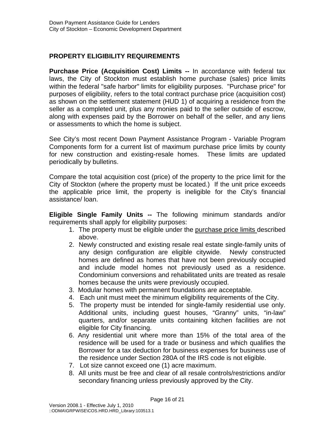# **PROPERTY ELIGIBILITY REQUIREMENTS**

**Purchase Price (Acquisition Cost) Limits --** In accordance with federal tax laws, the City of Stockton must establish home purchase (sales) price limits within the federal "safe harbor" limits for eligibility purposes. "Purchase price" for purposes of eligibility, refers to the total contract purchase price (acquisition cost) as shown on the settlement statement (HUD 1) of acquiring a residence from the seller as a completed unit, plus any monies paid to the seller outside of escrow, along with expenses paid by the Borrower on behalf of the seller, and any liens or assessments to which the home is subject.

See City's most recent Down Payment Assistance Program - Variable Program Components form for a current list of maximum purchase price limits by county for new construction and existing-resale homes. These limits are updated periodically by bulletins.

Compare the total acquisition cost (price) of the property to the price limit for the City of Stockton (where the property must be located.) If the unit price exceeds the applicable price limit, the property is ineligible for the City's financial assistance/ loan.

**Eligible Single Family Units --** The following minimum standards and/or requirements shall apply for eligibility purposes:

- 1. The property must be eligible under the purchase price limits described above.
- 2. Newly constructed and existing resale real estate single-family units of any design configuration are eligible citywide. Newly constructed homes are defined as homes that have not been previously occupied and include model homes not previously used as a residence. Condominium conversions and rehabilitated units are treated as resale homes because the units were previously occupied.
- 3. Modular homes with permanent foundations are acceptable.
- 4. Each unit must meet the minimum eligibility requirements of the City.
- 5. The property must be intended for single-family residential use only. Additional units, including guest houses, "Granny" units, "in-law" quarters, and/or separate units containing kitchen facilities are not eligible for City financing.
- 6. Any residential unit where more than 15% of the total area of the residence will be used for a trade or business and which qualifies the Borrower for a tax deduction for business expenses for business use of the residence under Section 280A of the IRS code is not eligible.
- 7. Lot size cannot exceed one (1) acre maximum.
- 8. All units must be free and clear of all resale controls/restrictions and/or secondary financing unless previously approved by the City.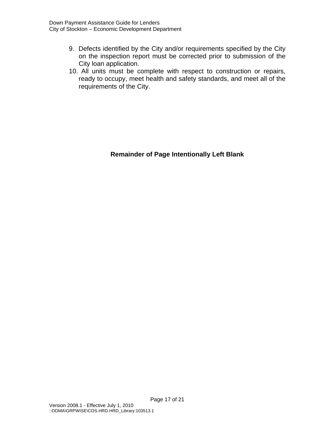- 9. Defects identified by the City and/or requirements specified by the City on the inspection report must be corrected prior to submission of the City loan application.
- 10. All units must be complete with respect to construction or repairs, ready to occupy, meet health and safety standards, and meet all of the requirements of the City.

**Remainder of Page Intentionally Left Blank**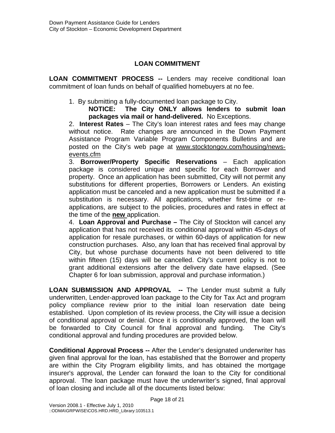# **LOAN COMMITMENT**

**LOAN COMMITMENT PROCESS --** Lenders may receive conditional loan commitment of loan funds on behalf of qualified homebuyers at no fee.

1. By submitting a fully-documented loan package to City.

**NOTICE: The City ONLY allows lenders to submit loan packages via mail or hand-delivered.** No Exceptions.

2. **Interest Rates** – The City's loan interest rates and fees may change without notice. Rate changes are announced in the Down Payment Assistance Program Variable Program Components Bulletins and are posted on the City's web page at www.stocktongov.com/housing/newsevents.cfm

3. **Borrower/Property Specific Reservations** – Each application package is considered unique and specific for each Borrower and property. Once an application has been submitted, City will not permit any substitutions for different properties, Borrowers or Lenders. An existing application must be canceled and a new application must be submitted if a substitution is necessary. All applications, whether first-time or reapplications, are subject to the policies, procedures and rates in effect at the time of the **new** application.

4. **Loan Approval and Purchase –** The City of Stockton will cancel any application that has not received its conditional approval within 45-days of application for resale purchases, or within 60-days of application for new construction purchases. Also, any loan that has received final approval by City, but whose purchase documents have not been delivered to title within fifteen (15) days will be cancelled. City's current policy is not to grant additional extensions after the delivery date have elapsed. (See Chapter 6 for loan submission, approval and purchase information.)

**LOAN SUBMISSION AND APPROVAL --** The Lender must submit a fully underwritten, Lender-approved loan package to the City for Tax Act and program policy compliance review prior to the initial loan reservation date being established. Upon completion of its review process, the City will issue a decision of conditional approval or denial. Once it is conditionally approved, the loan will be forwarded to City Council for final approval and funding. The City's conditional approval and funding procedures are provided below.

**Conditional Approval Process --** After the Lender's designated underwriter has given final approval for the loan, has established that the Borrower and property are within the City Program eligibility limits, and has obtained the mortgage insurer's approval, the Lender can forward the loan to the City for conditional approval. The loan package must have the underwriter's signed, final approval of loan closing and include all of the documents listed below: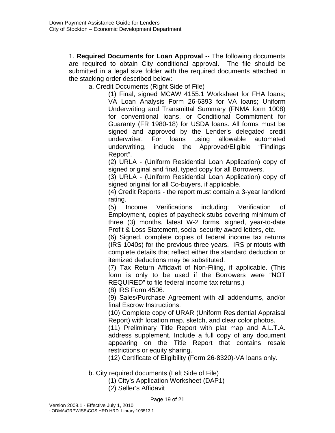1. **Required Documents for Loan Approval --** The following documents are required to obtain City conditional approval. The file should be submitted in a legal size folder with the required documents attached in the stacking order described below:

a. Credit Documents (Right Side of File)

(1) Final, signed MCAW 4155.1 Worksheet for FHA loans; VA Loan Analysis Form 26-6393 for VA loans; Uniform Underwriting and Transmittal Summary (FNMA form 1008) for conventional loans, or Conditional Commitment for Guaranty (FR 1980-18) for USDA loans. All forms must be signed and approved by the Lender's delegated credit underwriter. For loans using allowable automated underwriting, include the Approved/Eligible "Findings Report".

(2) URLA - (Uniform Residential Loan Application) copy of signed original and final, typed copy for all Borrowers.

(3) URLA - (Uniform Residential Loan Application) copy of signed original for all Co-buyers, if applicable.

(4) Credit Reports - the report must contain a 3-year landlord rating.

(5) Income Verifications including: Verification of Employment, copies of paycheck stubs covering minimum of three (3) months, latest W-2 forms, signed, year-to-date Profit & Loss Statement, social security award letters, etc.

(6) Signed, complete copies of federal income tax returns (IRS 1040s) for the previous three years. IRS printouts with complete details that reflect either the standard deduction or itemized deductions may be substituted.

(7) Tax Return Affidavit of Non-Filing, if applicable. (This form is only to be used if the Borrowers were "NOT REQUIRED" to file federal income tax returns.)

(8) IRS Form 4506.

(9) Sales/Purchase Agreement with all addendums, and/or final Escrow Instructions.

(10) Complete copy of URAR (Uniform Residential Appraisal Report) with location map, sketch, and clear color photos.

(11) Preliminary Title Report with plat map and A.L.T.A. address supplement. Include a full copy of any document appearing on the Title Report that contains resale restrictions or equity sharing.

(12) Certificate of Eligibility (Form 26-8320)-VA loans only.

b. City required documents (Left Side of File)

(1) City's Application Worksheet (DAP1)

(2) Seller's Affidavit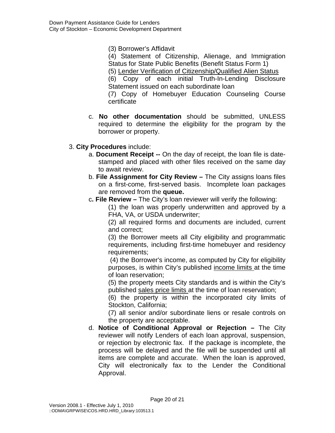(3) Borrower's Affidavit

(4) Statement of Citizenship, Alienage, and Immigration Status for State Public Benefits (Benefit Status Form 1) (5) Lender Verification of Citizenship/Qualified Alien Status (6) Copy of each initial Truth-In-Lending Disclosure Statement issued on each subordinate loan (7) Copy of Homebuyer Education Counseling Course certificate

- c. **No other documentation** should be submitted, UNLESS required to determine the eligibility for the program by the borrower or property.
- 3. **City Procedures** include:
	- a. **Document Receipt --** On the day of receipt, the loan file is datestamped and placed with other files received on the same day to await review.
	- b. **File Assignment for City Review** The City assigns loans files on a first-come, first-served basis. Incomplete loan packages are removed from the **queue.**
	- c**. File Review** The City's loan reviewer will verify the following:

(1) the loan was properly underwritten and approved by a FHA, VA, or USDA underwriter;

(2) all required forms and documents are included, current and correct;

(3) the Borrower meets all City eligibility and programmatic requirements, including first-time homebuyer and residency requirements;

 (4) the Borrower's income, as computed by City for eligibility purposes, is within City's published income limits at the time of loan reservation;

(5) the property meets City standards and is within the City's published sales price limits at the time of loan reservation;

(6) the property is within the incorporated city limits of Stockton, California;

(7) all senior and/or subordinate liens or resale controls on the property are acceptable.

d. **Notice of Conditional Approval or Rejection –** The City reviewer will notify Lenders of each loan approval, suspension, or rejection by electronic fax. If the package is incomplete, the process will be delayed and the file will be suspended until all items are complete and accurate. When the loan is approved, City will electronically fax to the Lender the Conditional Approval.